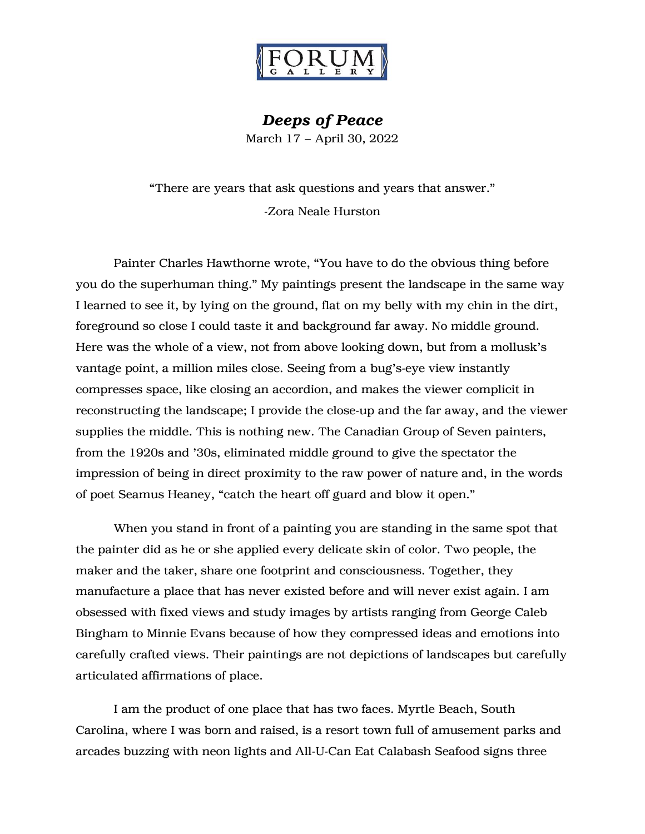

*Deeps of Peace* March 17 – April 30, 2022

"There are years that ask questions and years that answer." -Zora Neale Hurston

Painter Charles Hawthorne wrote, "You have to do the obvious thing before you do the superhuman thing." My paintings present the landscape in the same way I learned to see it, by lying on the ground, flat on my belly with my chin in the dirt, foreground so close I could taste it and background far away. No middle ground. Here was the whole of a view, not from above looking down, but from a mollusk's vantage point, a million miles close. Seeing from a bug's-eye view instantly compresses space, like closing an accordion, and makes the viewer complicit in reconstructing the landscape; I provide the close-up and the far away, and the viewer supplies the middle. This is nothing new. The Canadian Group of Seven painters, from the 1920s and '30s, eliminated middle ground to give the spectator the impression of being in direct proximity to the raw power of nature and, in the words of poet Seamus Heaney, "catch the heart off guard and blow it open."

When you stand in front of a painting you are standing in the same spot that the painter did as he or she applied every delicate skin of color. Two people, the maker and the taker, share one footprint and consciousness. Together, they manufacture a place that has never existed before and will never exist again. I am obsessed with fixed views and study images by artists ranging from George Caleb Bingham to Minnie Evans because of how they compressed ideas and emotions into carefully crafted views. Their paintings are not depictions of landscapes but carefully articulated affirmations of place.

I am the product of one place that has two faces. Myrtle Beach, South Carolina, where I was born and raised, is a resort town full of amusement parks and arcades buzzing with neon lights and All-U-Can Eat Calabash Seafood signs three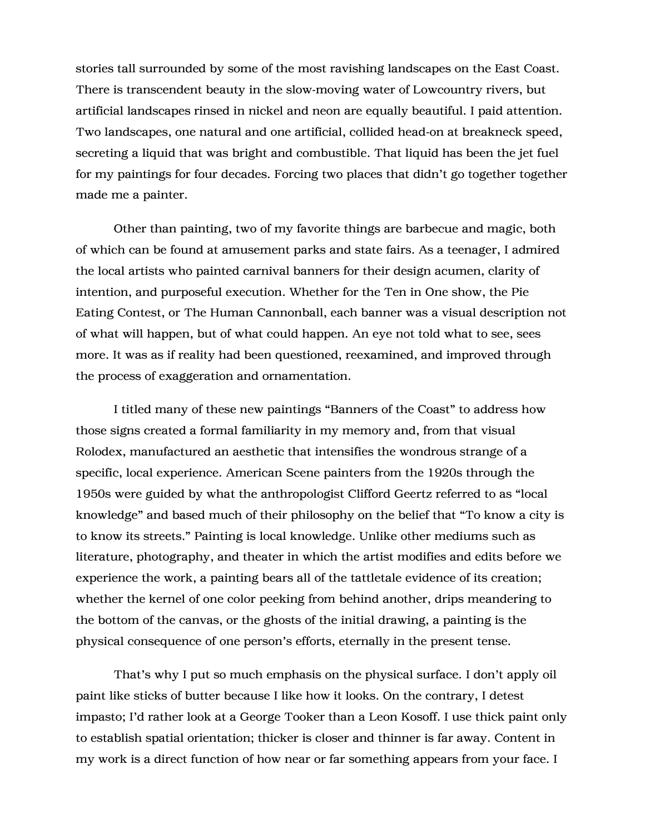stories tall surrounded by some of the most ravishing landscapes on the East Coast. There is transcendent beauty in the slow-moving water of Lowcountry rivers, but artificial landscapes rinsed in nickel and neon are equally beautiful. I paid attention. Two landscapes, one natural and one artificial, collided head-on at breakneck speed, secreting a liquid that was bright and combustible. That liquid has been the jet fuel for my paintings for four decades. Forcing two places that didn't go together together made me a painter.

Other than painting, two of my favorite things are barbecue and magic, both of which can be found at amusement parks and state fairs. As a teenager, I admired the local artists who painted carnival banners for their design acumen, clarity of intention, and purposeful execution. Whether for the Ten in One show, the Pie Eating Contest, or The Human Cannonball, each banner was a visual description not of what will happen, but of what could happen. An eye not told what to see, sees more. It was as if reality had been questioned, reexamined, and improved through the process of exaggeration and ornamentation.

I titled many of these new paintings "Banners of the Coast" to address how those signs created a formal familiarity in my memory and, from that visual Rolodex, manufactured an aesthetic that intensifies the wondrous strange of a specific, local experience. American Scene painters from the 1920s through the 1950s were guided by what the anthropologist Clifford Geertz referred to as "local knowledge" and based much of their philosophy on the belief that "To know a city is to know its streets." Painting is local knowledge. Unlike other mediums such as literature, photography, and theater in which the artist modifies and edits before we experience the work, a painting bears all of the tattletale evidence of its creation; whether the kernel of one color peeking from behind another, drips meandering to the bottom of the canvas, or the ghosts of the initial drawing, a painting is the physical consequence of one person's efforts, eternally in the present tense.

That's why I put so much emphasis on the physical surface. I don't apply oil paint like sticks of butter because I like how it looks. On the contrary, I detest impasto; I'd rather look at a George Tooker than a Leon Kosoff. I use thick paint only to establish spatial orientation; thicker is closer and thinner is far away. Content in my work is a direct function of how near or far something appears from your face. I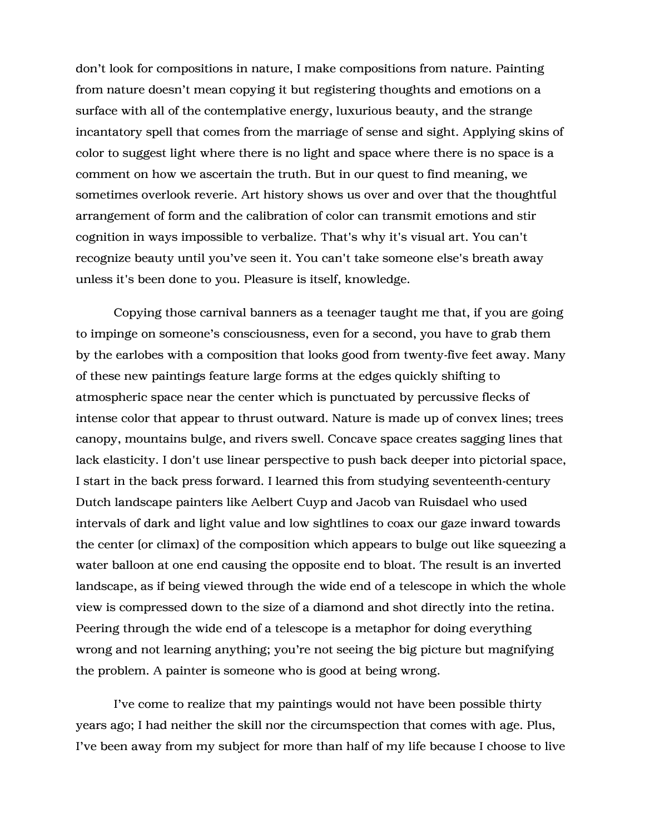don't look for compositions in nature, I make compositions from nature. Painting from nature doesn't mean copying it but registering thoughts and emotions on a surface with all of the contemplative energy, luxurious beauty, and the strange incantatory spell that comes from the marriage of sense and sight. Applying skins of color to suggest light where there is no light and space where there is no space is a comment on how we ascertain the truth. But in our quest to find meaning, we sometimes overlook reverie. Art history shows us over and over that the thoughtful arrangement of form and the calibration of color can transmit emotions and stir cognition in ways impossible to verbalize. That's why it's visual art. You can't recognize beauty until you've seen it. You can't take someone else's breath away unless it's been done to you. Pleasure is itself, knowledge.

Copying those carnival banners as a teenager taught me that, if you are going to impinge on someone's consciousness, even for a second, you have to grab them by the earlobes with a composition that looks good from twenty-five feet away. Many of these new paintings feature large forms at the edges quickly shifting to atmospheric space near the center which is punctuated by percussive flecks of intense color that appear to thrust outward. Nature is made up of convex lines; trees canopy, mountains bulge, and rivers swell. Concave space creates sagging lines that lack elasticity. I don't use linear perspective to push back deeper into pictorial space, I start in the back press forward. I learned this from studying seventeenth-century Dutch landscape painters like Aelbert Cuyp and Jacob van Ruisdael who used intervals of dark and light value and low sightlines to coax our gaze inward towards the center (or climax) of the composition which appears to bulge out like squeezing a water balloon at one end causing the opposite end to bloat. The result is an inverted landscape, as if being viewed through the wide end of a telescope in which the whole view is compressed down to the size of a diamond and shot directly into the retina. Peering through the wide end of a telescope is a metaphor for doing everything wrong and not learning anything; you're not seeing the big picture but magnifying the problem. A painter is someone who is good at being wrong.

I've come to realize that my paintings would not have been possible thirty years ago; I had neither the skill nor the circumspection that comes with age. Plus, I've been away from my subject for more than half of my life because I choose to live